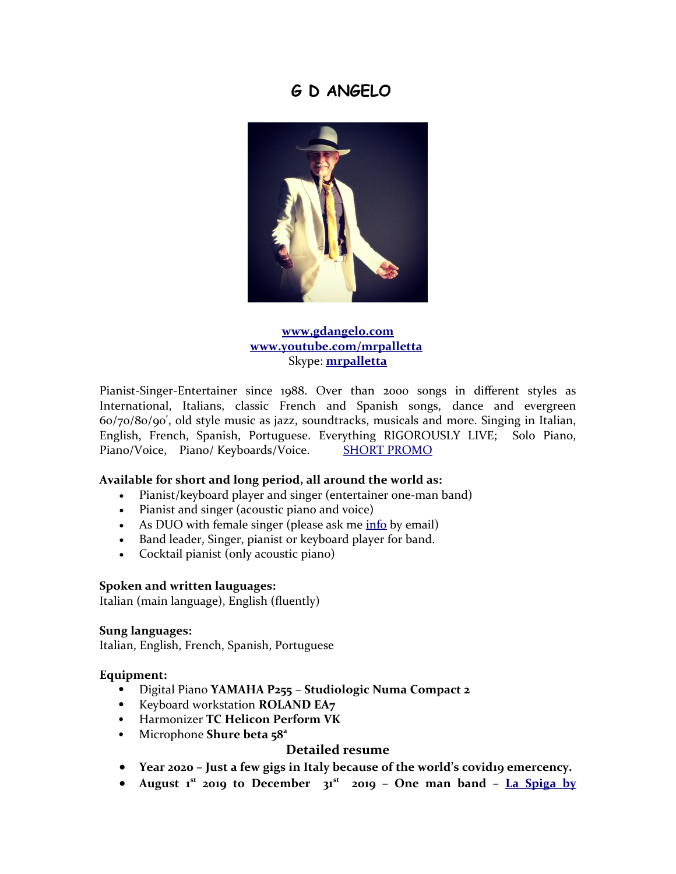# **G D ANGELO**



## **[www,gdangelo.com](https://www.gdangelo.com/) [www.youtube.com/mrpalletta](http://www.youtube.com/mrpalletta)** Skype: **[mrpalletta](callto:mrpalletta)**

Pianist-Singer-Entertainer since 1988. Over than 2000 songs in different styles as International, Italians, classic French and Spanish songs, dance and evergreen 60/70/80/90', old style music as jazz, soundtracks, musicals and more. Singing in Italian, English, French, Spanish, Portuguese. Everything RIGOROUSLY LIVE; Solo Piano, Piano/Voice, Piano/ Keyboards/Voice. [SHORT PROMO](https://www.youtube.com/watch?v=Q7DML1PMSG8)

## **Available for short and long period, all around the world as:**

- Pianist/keyboard player and singer (entertainer one-man band)
- Pianist and singer (acoustic piano and voice)
- As DUO with female singer (please ask me [info](mailto:info@gdangelo.com?subject=Info%20from%20curriculum%20for%20female%20singer) by email)
- Band leader, Singer, pianist or keyboard player for band.
- Cocktail pianist (only acoustic piano)

#### **Spoken and written lauguages:**

Italian (main language), English (fluently)

#### **Sung languages:**

Italian, English, French, Spanish, Portuguese

#### **Equipment:**

- Digital Piano **YAMAHA P255 Studiologic Numa Compact 2**
- Keyboard workstation **ROLAND EA7**
- Harmonizer **TC Helicon Perform VK**
- Microphone **Shure beta 58<sup>a</sup>**

## **Detailed resume**

- Year 2020 Just a few gigs in Italy because of the world's covidio emercency.
- **August 1 st 2019 to December 31st 2019 One man band – [La Spiga by](https://www.laspigadoha.com/)**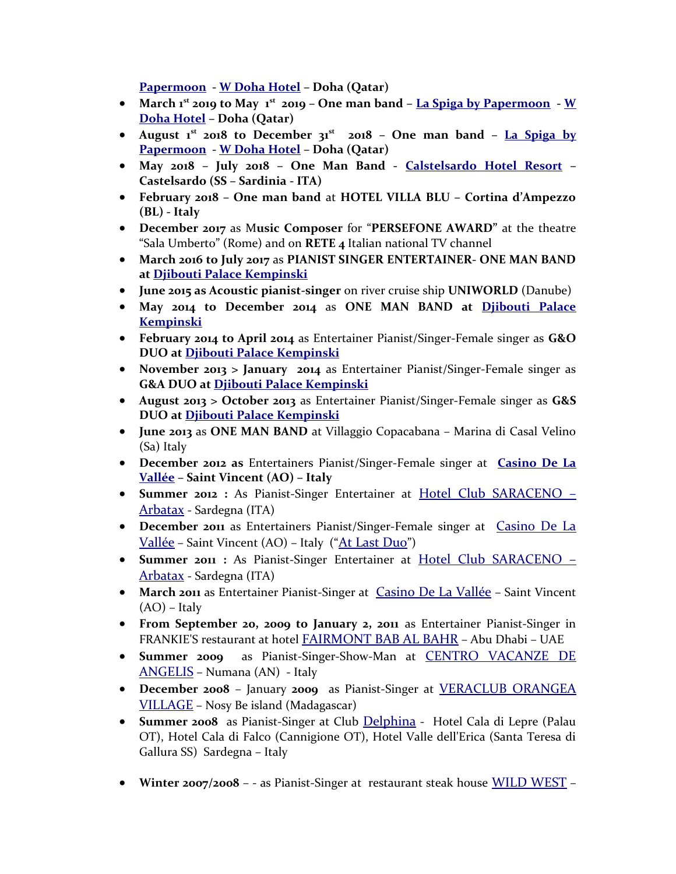**[Papermoon](https://www.laspigadoha.com/) - [W Doha Hotel](http://www.whoteldoha.com/) – Doha (Qatar)**

- **March 1st 2019 to May 1st 2019 One man band [La Spiga by Papermoon](https://www.laspigadoha.com/) - [W](http://www.whoteldoha.com/) [Doha Hotel](http://www.whoteldoha.com/) – Doha (Qatar)**
- **August 1 st 2018 to December 31st 2018 One man band – [La Spiga by](https://www.laspigadoha.com/) [Papermoon](https://www.laspigadoha.com/) - [W Doha Hotel](http://www.whoteldoha.com/) – Doha (Qatar)**
- **May 2018 July 2018 One Man Band - [Calstelsardo Hotel Resort](http://castelsardoresort.it/) – Castelsardo (SS – Sardinia - ITA)**
- **February 2018 One man band** at **HOTEL VILLA BLU Cortina d'Ampezzo (BL) - Italy**
- **December 2017** as M**usic Composer** for "**PERSEFONE AWARD"** at the theatre "Sala Umberto" (Rome) and on **RETE 4** Italian national TV channel
- **March 2016 to July 2017** as **PIANIST SINGER ENTERTAINER- ONE MAN BAND at [Djibouti Palace Kempinski](http://www.kempinski.com/en/djibouti/djibouti-palace/welcome/)**
- **June 2015 as Acoustic pianist-singer** on river cruise ship **UNIWORLD** (Danube)
- **May 2014 to December 2014** as **ONE MAN BAND at [Djibouti Palace](http://www.kempinski.com/en/djibouti/djibouti-palace/welcome/) [Kempinski](http://www.kempinski.com/en/djibouti/djibouti-palace/welcome/)**
- **February 2014 to April 2014** as Entertainer Pianist/Singer-Female singer as **G&O DUO at [Djibouti Palace Kempinski](http://www.kempinski.com/en/djibouti/djibouti-palace/welcome/)**
- **November 2013 > January 2014** as Entertainer Pianist/Singer-Female singer as **G&A DUO at [Djibouti Palace Kempinski](http://www.kempinski.com/en/djibouti/djibouti-palace/welcome/)**
- **August 2013 > October 2013** as Entertainer Pianist/Singer-Female singer as **G&S DUO at [Djibouti Palace Kempinski](http://www.kempinski.com/en/djibouti/djibouti-palace/welcome/)**
- **June 2013** as **ONE MAN BAND** at Villaggio Copacabana Marina di Casal Velino (Sa) Italy
- **December 2012 as** Entertainers Pianist/Singer-Female singer at **[Casino De La](http://www.casinodelavallee.it/en/what-s-on/live-music-mister-palletta) [Vallée](http://www.casinodelavallee.it/en/what-s-on/live-music-mister-palletta) – Saint Vincent (AO) – Italy**
- **Summer 2012 :** As Pianist-Singer Entertainer at [Hotel Club SARACENO –](http://www.hotelclubsaraceno.com/index.htm) [Arbatax](http://www.hotelclubsaraceno.com/index.htm) - Sardegna (ITA)
- **December 2011** as Entertainers Pianist/Singer-Female singer at [Casino De La](http://www.casinodelavallee.it/en/what-s-on/live-music-mister-palletta) [Vallée](http://www.casinodelavallee.it/en/what-s-on/live-music-mister-palletta) – Saint Vincent (AO) – Italy ("[At Last Duo](http://www.atlastduo.com/)")
- **Summer 2011 :** As Pianist-Singer Entertainer at [Hotel Club SARACENO –](http://www.hotelclubsaraceno.com/index.htm) [Arbatax](http://www.hotelclubsaraceno.com/index.htm) - Sardegna (ITA)
- **March 2011** as Entertainer Pianist-Singer at **[Casino De La Vallée](http://www.casinodelavallee.it/en/what-s-on/live-music-mister-palletta)** Saint Vincent (AO) – Italy
- **From September 20, 2009 to January 2, 2011** as Entertainer Pianist-Singer in FRANKIE'S restaurant at hotel [FAIRMONT BAB AL BAHR](http://www.fairmont.com/babalbahr) – Abu Dhabi – UAE
- **Summer 2009** as Pianist-Singer-Show-Man at [CENTRO VACANZE DE](http://www.centro-vacanze.it/) [ANGELIS](http://www.centro-vacanze.it/) – Numana (AN) - Italy
- **December 2008** January **2009** as Pianist-Singer at [VERACLUB ORANGEA](http://www.veratour.it/it/la-tua-vacanza/villaggi/44_veraclub_orangea_village/) [VILLAGE](http://www.veratour.it/it/la-tua-vacanza/villaggi/44_veraclub_orangea_village/) – Nosy Be island (Madagascar)
- **Summer 2008** as Pianist-Singer at Club [Delphina](http://www.delphina.it/) Hotel Cala di Lepre (Palau OT), Hotel Cala di Falco (Cannigione OT), Hotel Valle dell'Erica (Santa Teresa di Gallura SS) Sardegna – Italy
- **Winter 2007/2008**  - as Pianist-Singer at restaurant steak house [WILD WEST](http://www.wildweststeakhouse.it/) –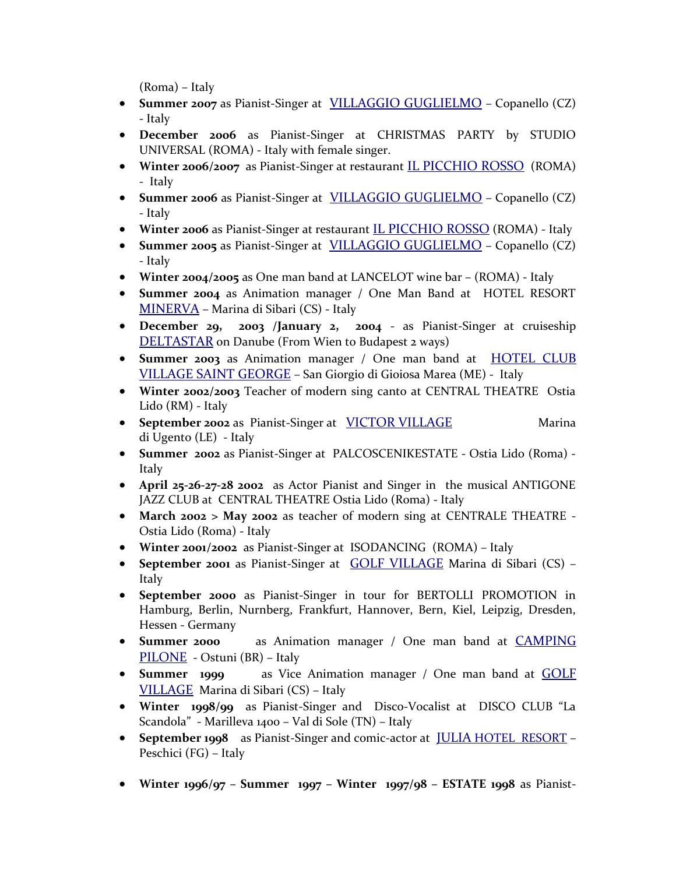(Roma) – Italy

- **Summer 2007** as Pianist-Singer at [VILLAGGIO GUGLIELMO](http://www.villaggioguglielmo.it/) Copanello (CZ) - Italy
- **December 2006** as Pianist-Singer at CHRISTMAS PARTY by STUDIO UNIVERSAL (ROMA) - Italy with female singer.
- **Winter 2006/2007** as Pianist-Singer at restaurant [IL PICCHIO ROSSO](http://www.ilpicchiorosso.it/) (ROMA) - Italy
- **Summer 2006** as Pianist-Singer at **[VILLAGGIO GUGLIELMO](http://www.villaggioguglielmo.it/)** Copanello (CZ) - Italy
- **Winter 2006** as Pianist-Singer at restaurant **[IL PICCHIO ROSSO](http://www.ilpicchiorosso.it/)** (ROMA) Italy
- **Summer 2005** as Pianist-Singer at **[VILLAGGIO GUGLIELMO](http://www.villaggioguglielmo.it/)** Copanello (CZ) - Italy
- **Winter 2004/2005** as One man band at LANCELOT wine bar (ROMA) Italy
- **Summer 2004** as Animation manager / One Man Band at HOTEL RESORT [MINERVA](http://www.minervaclubresort.it/) – Marina di Sibari (CS) - Italy
- **December 29, 2003 /January 2, 2004** as Pianist-Singer at cruiseship [DELTASTAR](http://www.crociereonline.net/navi/giver.htm) on Danube (From Wien to Budapest 2 ways)
- **Summer 2003** as Animation manager / One man band at **[HOTEL CLUB](http://www.hotelsaintgeorge.it/)** [VILLAGE SAINT GEORGE](http://www.hotelsaintgeorge.it/) – San Giorgio di Gioiosa Marea (ME) - Italy
- **Winter 2002/2003** Teacher of modern sing canto at CENTRAL THEATRE Ostia Lido (RM) - Italy
- **September 2002** as Pianist-Singer at [VICTOR VILLAGE](http://www.victorvillage.it/) Marina di Ugento (LE) - Italy
- **Summer 2002** as Pianist-Singer at PALCOSCENIKESTATE Ostia Lido (Roma) Italy
- **April 25-26-27-28 2002** as Actor Pianist and Singer in the musical ANTIGONE JAZZ CLUB at CENTRAL THEATRE Ostia Lido (Roma) - Italy
- **March 2002 > May 2002** as teacher of modern sing at CENTRALE THEATRE Ostia Lido (Roma) - Italy
- **Winter 2001/2002** as Pianist-Singer at ISODANCING (ROMA) Italy
- **September 2001** as Pianist-Singer at [GOLF VILLAGE](http://www.iperviaggi.it/it/scheda-Residence-Sibari-Golf-Village-1384.php) Marina di Sibari (CS) Italy
- **September 2000** as Pianist-Singer in tour for BERTOLLI PROMOTION in Hamburg, Berlin, Nurnberg, Frankfurt, Hannover, Bern, Kiel, Leipzig, Dresden, Hessen - Germany
- **Summer 2000** as Animation manager / One man band at [CAMPING](http://www.campingpilone.it/) [PILONE](http://www.campingpilone.it/) - Ostuni (BR) – Italy
- **Summer 1999** as Vice Animation manager / One man band at [GOLF](http://www.iperviaggi.it/it/scheda-Residence-Sibari-Golf-Village-1384.php) [VILLAGE](http://www.iperviaggi.it/it/scheda-Residence-Sibari-Golf-Village-1384.php) Marina di Sibari (CS) – Italy
- **Winter 1998/99** as Pianist-Singer and Disco-Vocalist at DISCO CLUB "La Scandola" - Marilleva 1400 – Val di Sole (TN) – Italy
- **September 1998** as Pianist-Singer and comic-actor at [JULIA](http://www.residencejulia.com/) HOTEL RESORT Peschici (FG) – Italy
- **Winter 1996/97 Summer 1997 Winter 1997/98 ESTATE 1998** as Pianist-